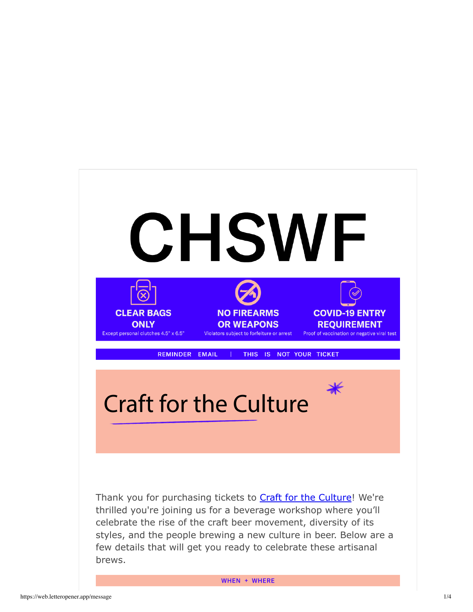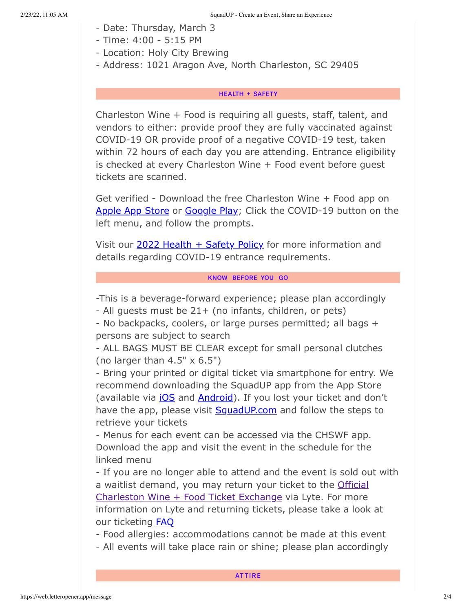- Date: Thursday, March 3
- Time: 4:00 5:15 PM
- Location: Holy City Brewing
- Address: 1021 Aragon Ave, North Charleston, SC 29405

## **HEALTH + SAFETY**

Charleston Wine + Food is requiring all guests, staff, talent, and vendors to either: provide proof they are fully vaccinated against COVID-19 OR provide proof of a negative COVID-19 test, taken within 72 hours of each day you are attending. Entrance eligibility is checked at every Charleston Wine + Food event before guest tickets are scanned.

Get verified - Download the free Charleston Wine + Food app on Apple App Store or Google Play; Click the COVID-19 button on the left menu, and follow the prompts.

Visit our 2022 Health + Safety Policy for more information and details regarding COVID-19 entrance requirements.

# KNOW BEFORE YOU GO

-This is a beverage-forward experience; please plan accordingly

- All guests must be 21+ (no infants, children, or pets)

- No backpacks, coolers, or large purses permitted; all bags + persons are subject to search

- ALL BAGS MUST BE CLEAR except for small personal clutches (no larger than  $4.5" \times 6.5"$ )

- Bring your printed or digital ticket via smartphone for entry. We recommend downloading the SquadUP app from the App Store (available via *iOS* and **Android**). If you lost your ticket and don't have the app, please visit **SquadUP.com** and follow the steps to retrieve your tickets

- Menus for each event can be accessed via the CHSWF app. Download the app and visit the event in the schedule for the linked menu

- If you are no longer able to attend and the event is sold out with a waitlist demand, you may return your ticket to the Official Charleston Wine + Food Ticket Exchange via Lyte. For more information on Lyte and returning tickets, please take a look at our ticketing **FAQ** 

- Food allergies: accommodations cannot be made at this event

- All events will take place rain or shine; please plan accordingly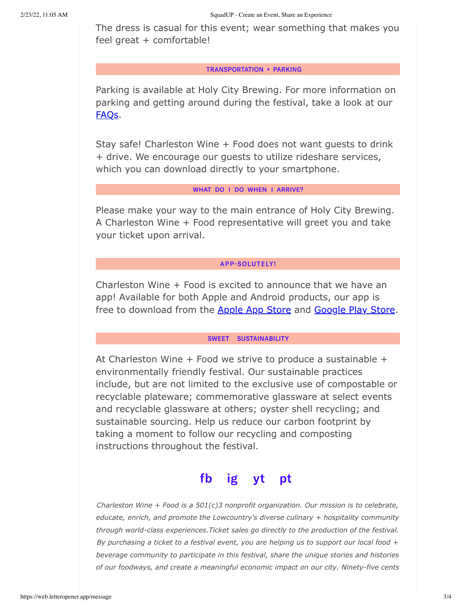The dress is casual for this event; wear something that makes you feel great + comfortable!

#### **TRANSPORTATION + PARKING**

Parking is available at Holy City Brewing. For more information on parking and getting around during the festival, take a look at our FAQs.

Stay safe! Charleston Wine + Food does not want guests to drink + drive. We encourage our guests to utilize rideshare services, which you can download directly to your smartphone.

### WHAT DO I DO WHEN I ARRIVE?

Please make your way to the main entrance of Holy City Brewing. A Charleston Wine + Food representative will greet you and take your ticket upon arrival.

# **APP-SOLUTELY!**

Charleston Wine + Food is excited to announce that we have an app! Available for both Apple and Android products, our app is free to download from the Apple App Store and Google Play Store.

#### SWEET SUSTAINABILITY

At Charleston Wine  $+$  Food we strive to produce a sustainable  $+$ environmentally friendly festival. Our sustainable practices include, but are not limited to the exclusive use of compostable or recyclable plateware; commemorative glassware at select events and recyclable glassware at others; oyster shell recycling; and sustainable sourcing. Help us reduce our carbon footprint by taking a moment to follow our recycling and composting instructions throughout the festival.

#### ig fb pt **yt**

*Charleston Wine + Food is a 501(c)3 nonprofit organization. Our mission is to celebrate, educate, enrich, and promote the Lowcountry's diverse culinary + hospitality community through world-class experiences.Ticket sales go directly to the production of the festival. By purchasing a ticket to a festival event, you are helping us to support our local food + beverage community to participate in this festival, share the unique stories and histories of our foodways, and create a meaningful economic impact on our city. Ninety-five cents*